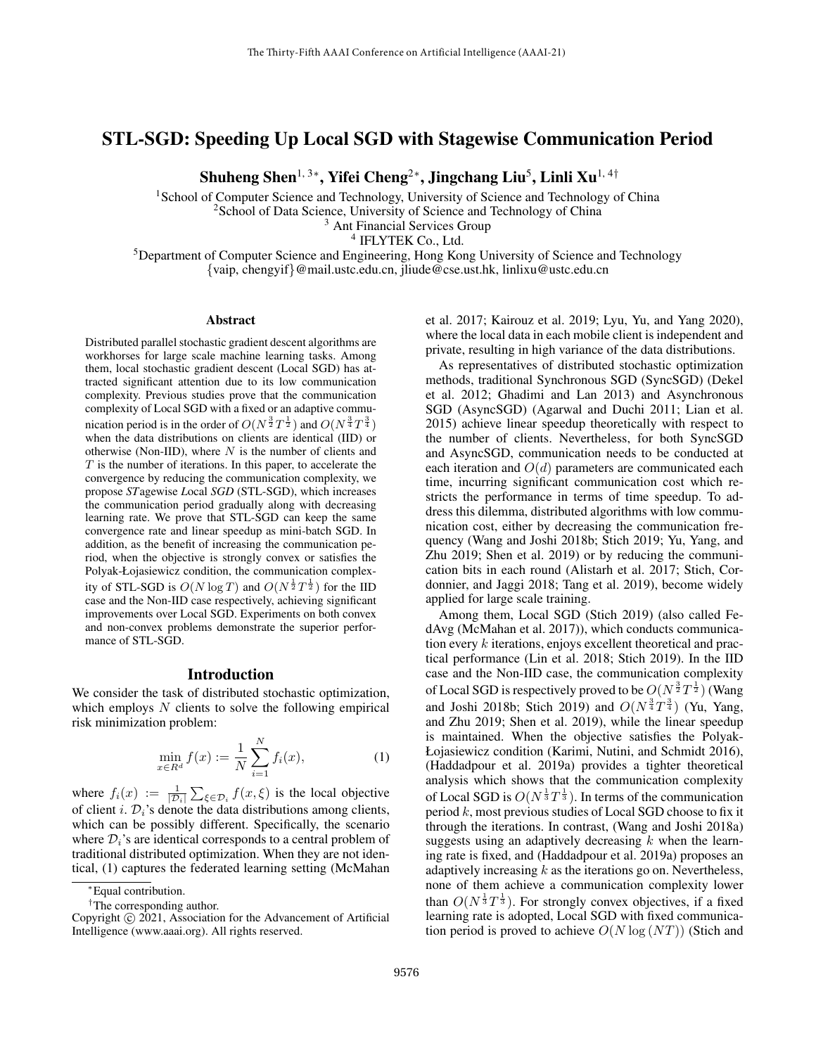# STL-SGD: Speeding Up Local SGD with Stagewise Communication Period

Shuheng Shen $^{1,\,3*}$ , Yifei Cheng $^{2*}$ , Jingchang Liu $^5$ , Linli Xu $^{1,\,4\dagger}$ 

<sup>1</sup>School of Computer Science and Technology, University of Science and Technology of China

<sup>2</sup>School of Data Science, University of Science and Technology of China

<sup>3</sup> Ant Financial Services Group

4 IFLYTEK Co., Ltd.

<sup>5</sup>Department of Computer Science and Engineering, Hong Kong University of Science and Technology {vaip, chengyif}@mail.ustc.edu.cn, jliude@cse.ust.hk, linlixu@ustc.edu.cn

#### Abstract

Distributed parallel stochastic gradient descent algorithms are workhorses for large scale machine learning tasks. Among them, local stochastic gradient descent (Local SGD) has attracted significant attention due to its low communication complexity. Previous studies prove that the communication complexity of Local SGD with a fixed or an adaptive communication period is in the order of  $O(N^{\frac{3}{2}}T^{\frac{1}{2}})$  and  $O(N^{\frac{3}{4}}T^{\frac{3}{4}})$ when the data distributions on clients are identical (IID) or otherwise (Non-IID), where  $N$  is the number of clients and  $T$  is the number of iterations. In this paper, to accelerate the convergence by reducing the communication complexity, we propose *ST*agewise *L*ocal *SGD* (STL-SGD), which increases the communication period gradually along with decreasing learning rate. We prove that STL-SGD can keep the same convergence rate and linear speedup as mini-batch SGD. In addition, as the benefit of increasing the communication period, when the objective is strongly convex or satisfies the Polyak-Łojasiewicz condition, the communication complexity of STL-SGD is  $O(N \log T)$  and  $O(N^{\frac{1}{2}}T^{\frac{1}{2}})$  for the IID case and the Non-IID case respectively, achieving significant improvements over Local SGD. Experiments on both convex and non-convex problems demonstrate the superior performance of STL-SGD.

#### Introduction

We consider the task of distributed stochastic optimization, which employs  $N$  clients to solve the following empirical risk minimization problem:

$$
\min_{x \in R^d} f(x) := \frac{1}{N} \sum_{i=1}^N f_i(x),
$$
\n(1)

where  $f_i(x) := \frac{1}{|\mathcal{D}_i|} \sum_{\xi \in \mathcal{D}_i} f(x, \xi)$  is the local objective of client i.  $\mathcal{D}_i$ 's denote the data distributions among clients, which can be possibly different. Specifically, the scenario where  $\mathcal{D}_i$ 's are identical corresponds to a central problem of traditional distributed optimization. When they are not identical, (1) captures the federated learning setting (McMahan

et al. 2017; Kairouz et al. 2019; Lyu, Yu, and Yang 2020), where the local data in each mobile client is independent and private, resulting in high variance of the data distributions.

As representatives of distributed stochastic optimization methods, traditional Synchronous SGD (SyncSGD) (Dekel et al. 2012; Ghadimi and Lan 2013) and Asynchronous SGD (AsyncSGD) (Agarwal and Duchi 2011; Lian et al. 2015) achieve linear speedup theoretically with respect to the number of clients. Nevertheless, for both SyncSGD and AsyncSGD, communication needs to be conducted at each iteration and  $O(d)$  parameters are communicated each time, incurring significant communication cost which restricts the performance in terms of time speedup. To address this dilemma, distributed algorithms with low communication cost, either by decreasing the communication frequency (Wang and Joshi 2018b; Stich 2019; Yu, Yang, and Zhu 2019; Shen et al. 2019) or by reducing the communication bits in each round (Alistarh et al. 2017; Stich, Cordonnier, and Jaggi 2018; Tang et al. 2019), become widely applied for large scale training.

Among them, Local SGD (Stich 2019) (also called FedAvg (McMahan et al. 2017)), which conducts communication every  $k$  iterations, enjoys excellent theoretical and practical performance (Lin et al. 2018; Stich 2019). In the IID case and the Non-IID case, the communication complexity of Local SGD is respectively proved to be  $O(N^{\frac{3}{2}}T^{\frac{1}{2}})$  (Wang and Joshi 2018b; Stich 2019) and  $O(N^{\frac{3}{4}}T^{\frac{3}{4}})$  (Yu, Yang, and Zhu 2019; Shen et al. 2019), while the linear speedup is maintained. When the objective satisfies the Polyak-Łojasiewicz condition (Karimi, Nutini, and Schmidt 2016), (Haddadpour et al. 2019a) provides a tighter theoretical analysis which shows that the communication complexity of Local SGD is  $O(N^{\frac{1}{3}}T^{\frac{1}{3}})$ . In terms of the communication period  $k$ , most previous studies of Local SGD choose to fix it through the iterations. In contrast, (Wang and Joshi 2018a) suggests using an adaptively decreasing  $k$  when the learning rate is fixed, and (Haddadpour et al. 2019a) proposes an adaptively increasing  $k$  as the iterations go on. Nevertheless, none of them achieve a communication complexity lower than  $O(N^{\frac{1}{3}}T^{\frac{1}{3}})$ . For strongly convex objectives, if a fixed learning rate is adopted, Local SGD with fixed communication period is proved to achieve  $O(N \log (NT))$  (Stich and

<sup>∗</sup>Equal contribution.

<sup>†</sup>The corresponding author.

Copyright © 2021, Association for the Advancement of Artificial Intelligence (www.aaai.org). All rights reserved.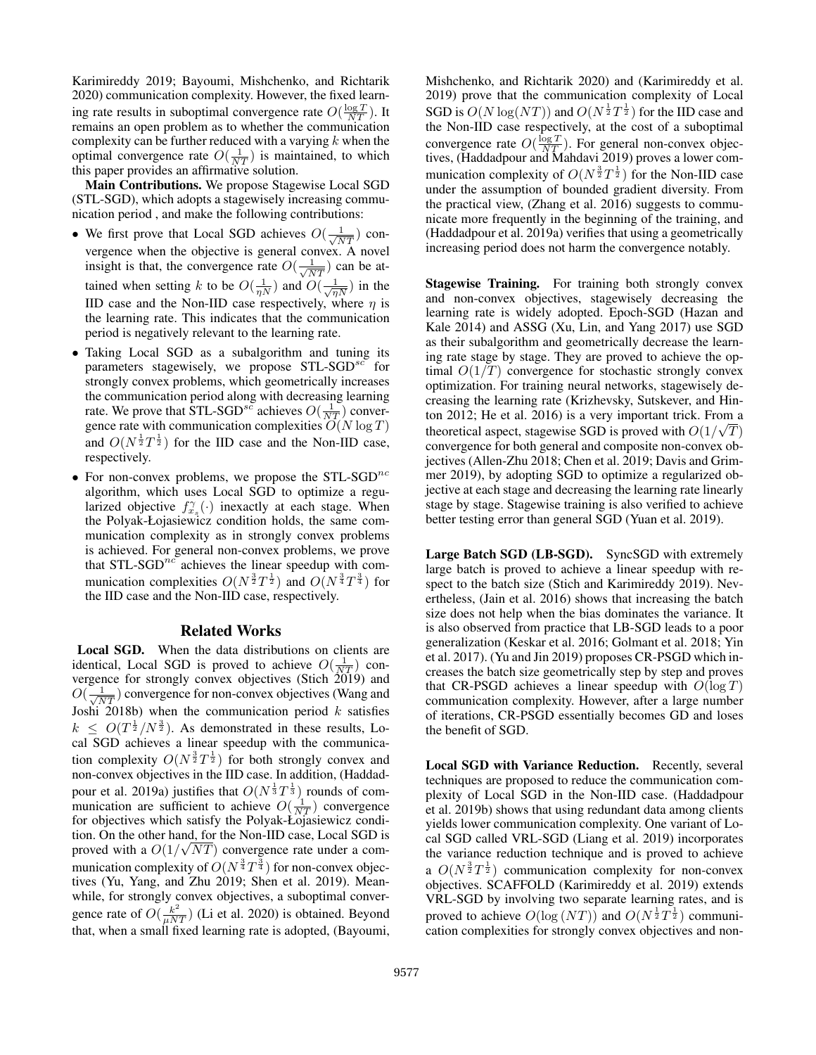Karimireddy 2019; Bayoumi, Mishchenko, and Richtarik 2020) communication complexity. However, the fixed learning rate results in suboptimal convergence rate  $O(\frac{\log T}{NT})$ . It remains an open problem as to whether the communication complexity can be further reduced with a varying  $k$  when the optimal convergence rate  $O(\frac{1}{NT})$  is maintained, to which this paper provides an affirmative solution.

Main Contributions. We propose Stagewise Local SGD (STL-SGD), which adopts a stagewisely increasing communication period , and make the following contributions:

- We first prove that Local SGD achieves  $O(\frac{1}{\sqrt{NT}})$  convergence when the objective is general convex. A novel insight is that, the convergence rate  $O(\frac{1}{\sqrt{NT}})$  can be attained when setting k to be  $O(\frac{1}{\eta N})$  and  $O(\frac{1}{\sqrt{\eta N}})$  in the IID case and the Non-IID case respectively, where  $\eta$  is the learning rate. This indicates that the communication period is negatively relevant to the learning rate.
- Taking Local SGD as a subalgorithm and tuning its parameters stagewisely, we propose  $STL-SGD^{sc}$  for strongly convex problems, which geometrically increases the communication period along with decreasing learning rate. We prove that STL-SGD<sup>sc</sup> achieves  $O(\frac{1}{NT})$  convergence rate with communication complexities  $\overline{O}(N \log T)$ and  $O(N^{\frac{1}{2}}T^{\frac{1}{2}})$  for the IID case and the Non-IID case, respectively.
- For non-convex problems, we propose the  $STL-SGD^{nc}$ algorithm, which uses Local SGD to optimize a regularized objective  $f_{x_s}^{\gamma}(\cdot)$  inexactly at each stage. When the Polyak-Łojasiewicz condition holds, the same communication complexity as in strongly convex problems is achieved. For general non-convex problems, we prove that  $STL-SGD<sup>nc</sup>$  achieves the linear speedup with communication complexities  $O(N^{\frac{3}{2}}T^{\frac{1}{2}})$  and  $O(N^{\frac{3}{4}}T^{\frac{3}{4}})$  for the IID case and the Non-IID case, respectively.

## Related Works

Local SGD. When the data distributions on clients are identical, Local SGD is proved to achieve  $O(\frac{1}{NT})$  convergence for strongly convex objectives (Stich 2019) and  $O(\frac{1}{\sqrt{NT}})$  convergence for non-convex objectives (Wang and Joshi 2018b) when the communication period  $k$  satisfies  $k \leq O(T^{\frac{1}{2}}/N^{\frac{3}{2}})$ . As demonstrated in these results, Local SGD achieves a linear speedup with the communication complexity  $O(N^{\frac{3}{2}}T^{\frac{1}{2}})$  for both strongly convex and non-convex objectives in the IID case. In addition, (Haddadpour et al. 2019a) justifies that  $O(N^{\frac{1}{3}}T^{\frac{1}{3}})$  rounds of communication are sufficient to achieve  $O(\frac{1}{NT})$  convergence for objectives which satisfy the Polyak-Łojasiewicz condition. On the other hand, for the Non-IID case, Local SGD is √ proved with a  $O(1/\sqrt{NT})$  convergence rate under a communication complexity of  $O(N^{\frac{3}{4}}T^{\frac{3}{4}})$  for non-convex objectives (Yu, Yang, and Zhu 2019; Shen et al. 2019). Meanwhile, for strongly convex objectives, a suboptimal convergence rate of  $O(\frac{k^2}{\mu NT})$  (Li et al. 2020) is obtained. Beyond that, when a small fixed learning rate is adopted, (Bayoumi,

Mishchenko, and Richtarik 2020) and (Karimireddy et al. 2019) prove that the communication complexity of Local SGD is  $O(N \log (NT))$  and  $O(N^{\frac{1}{2}}T^{\frac{1}{2}})$  for the IID case and the Non-IID case respectively, at the cost of a suboptimal convergence rate  $O(\frac{\log T}{NT})$ . For general non-convex objectives, (Haddadpour and Mahdavi 2019) proves a lower communication complexity of  $O(N^{\frac{3}{2}}T^{\frac{1}{2}})$  for the Non-IID case under the assumption of bounded gradient diversity. From the practical view, (Zhang et al. 2016) suggests to communicate more frequently in the beginning of the training, and (Haddadpour et al. 2019a) verifies that using a geometrically increasing period does not harm the convergence notably.

Stagewise Training. For training both strongly convex and non-convex objectives, stagewisely decreasing the learning rate is widely adopted. Epoch-SGD (Hazan and Kale 2014) and ASSG (Xu, Lin, and Yang 2017) use SGD as their subalgorithm and geometrically decrease the learning rate stage by stage. They are proved to achieve the optimal  $O(1/T)$  convergence for stochastic strongly convex optimization. For training neural networks, stagewisely decreasing the learning rate (Krizhevsky, Sutskever, and Hinton 2012; He et al. 2016) is a very important trick. From a theoretical aspect, stagewise SGD is proved with  $O(1/\sqrt{T})$ convergence for both general and composite non-convex objectives (Allen-Zhu 2018; Chen et al. 2019; Davis and Grimmer 2019), by adopting SGD to optimize a regularized objective at each stage and decreasing the learning rate linearly stage by stage. Stagewise training is also verified to achieve better testing error than general SGD (Yuan et al. 2019).

Large Batch SGD (LB-SGD). SyncSGD with extremely large batch is proved to achieve a linear speedup with respect to the batch size (Stich and Karimireddy 2019). Nevertheless, (Jain et al. 2016) shows that increasing the batch size does not help when the bias dominates the variance. It is also observed from practice that LB-SGD leads to a poor generalization (Keskar et al. 2016; Golmant et al. 2018; Yin et al. 2017). (Yu and Jin 2019) proposes CR-PSGD which increases the batch size geometrically step by step and proves that CR-PSGD achieves a linear speedup with  $O(\log T)$ communication complexity. However, after a large number of iterations, CR-PSGD essentially becomes GD and loses the benefit of SGD.

Local SGD with Variance Reduction. Recently, several techniques are proposed to reduce the communication complexity of Local SGD in the Non-IID case. (Haddadpour et al. 2019b) shows that using redundant data among clients yields lower communication complexity. One variant of Local SGD called VRL-SGD (Liang et al. 2019) incorporates the variance reduction technique and is proved to achieve a  $O(N^{\frac{3}{2}}T^{\frac{1}{2}})$  communication complexity for non-convex objectives. SCAFFOLD (Karimireddy et al. 2019) extends VRL-SGD by involving two separate learning rates, and is proved to achieve  $O(\log (NT))$  and  $O(N^{\frac{1}{2}}T^{\frac{1}{2}})$  communication complexities for strongly convex objectives and non-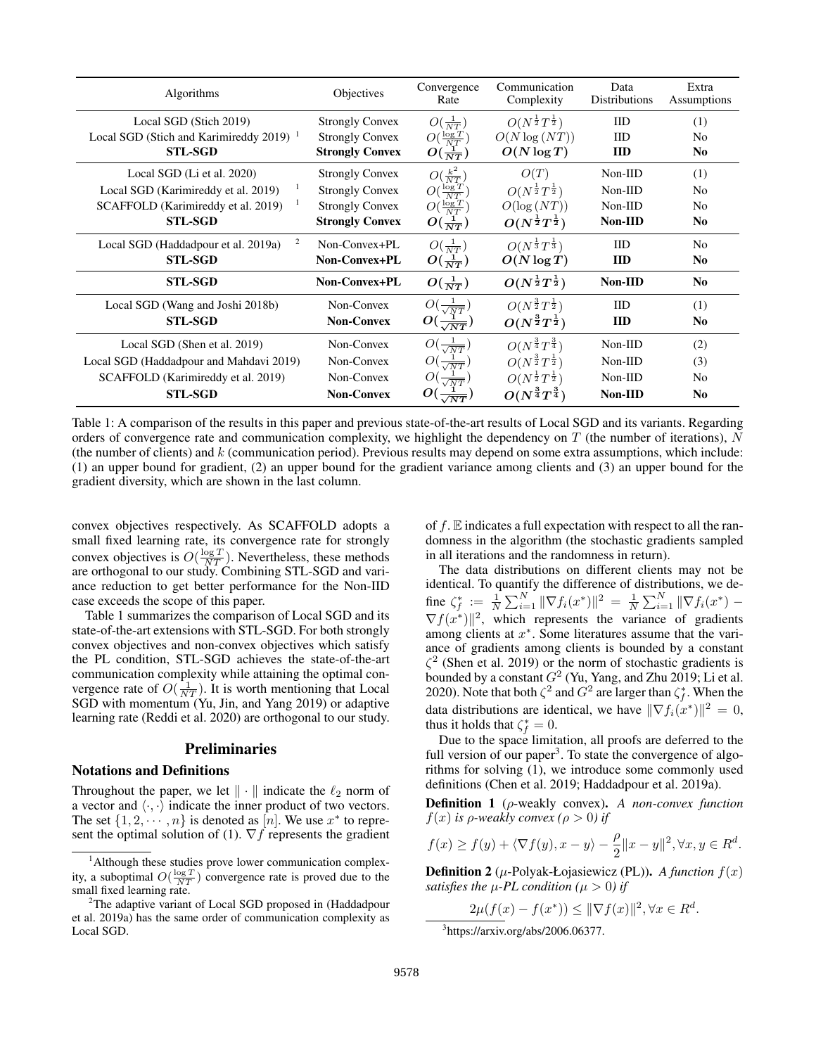| Algorithms                                     | Objectives             | Convergence<br>Rate      | Communication<br>Complexity         | Data<br><b>Distributions</b> | Extra<br>Assumptions |
|------------------------------------------------|------------------------|--------------------------|-------------------------------------|------------------------------|----------------------|
| Local SGD (Stich 2019)                         | <b>Strongly Convex</b> | $O(\frac{1}{NT})$        | $O(N^{\frac{1}{2}}T^{\frac{1}{2}})$ | $_{\text{IID}}$              | (1)                  |
| Local SGD (Stich and Karimireddy 2019) $^{-1}$ | <b>Strongly Convex</b> | $O(\frac{\log T}{NT})$   | $O(N \log (NT))$                    | $_{\text{IID}}$              | No                   |
| <b>STL-SGD</b>                                 | <b>Strongly Convex</b> | $O(\frac{1}{NT})$        | $O(N \log T)$                       | <b>IID</b>                   | N <sub>0</sub>       |
| Local SGD (Li et al. 2020)                     | <b>Strongly Convex</b> | $O(\frac{k^2}{NT})$      | O(T)                                | $Non-IID$                    | (1)                  |
| Local SGD (Karimireddy et al. 2019)            | <b>Strongly Convex</b> | $O(\frac{\log T}{NT})$   | $O(N^{\frac{1}{2}}T^{\frac{1}{2}})$ | $Non-IID$                    | No                   |
| SCAFFOLD (Karimireddy et al. 2019)             | <b>Strongly Convex</b> | $O(\frac{\log T}{NT})$   | $O(\log (NT))$                      | Non-IID                      | N <sub>0</sub>       |
| <b>STL-SGD</b>                                 | <b>Strongly Convex</b> | $O(\frac{1}{NT})$        | $O(N^{\frac{1}{2}}T^{\frac{1}{2}})$ | Non-IID                      | N <sub>0</sub>       |
| 2<br>Local SGD (Haddadpour et al. 2019a)       | Non-Convex+PL          | $O(\frac{1}{NT})$        | $O(N^{\frac{1}{3}}T^{\frac{1}{3}})$ | $_{\text{IID}}$              | N <sub>0</sub>       |
| <b>STL-SGD</b>                                 | Non-Convex+PL          | $O(\frac{1}{NT})$        | $O(N \log T)$                       | <b>IID</b>                   | N <sub>0</sub>       |
| <b>STL-SGD</b>                                 | Non-Convex+PL          | $O(\frac{1}{NT})$        | $O(N^{\frac{1}{2}}T^{\frac{1}{2}})$ | Non-IID                      | N <sub>0</sub>       |
| Local SGD (Wang and Joshi 2018b)               | Non-Convex             | $O(\frac{1}{\sqrt{NT}})$ | $O(N^{\frac{3}{2}}T^{\frac{1}{2}})$ | $_{\text{IID}}$              | (1)                  |
| <b>STL-SGD</b>                                 | <b>Non-Convex</b>      | $O(\frac{1}{\sqrt{NT}})$ | $O(N^{\frac{3}{2}}T^{\frac{1}{2}})$ | <b>IID</b>                   | N <sub>0</sub>       |
| Local SGD (Shen et al. 2019)                   | Non-Convex             | $O(\frac{1}{\sqrt{NT}})$ | $O(N^{\frac{3}{4}}T^{\frac{3}{4}})$ | $Non-IID$                    | (2)                  |
| Local SGD (Haddadpour and Mahdavi 2019)        | Non-Convex             | $O(\frac{1}{\sqrt{NT}})$ | $O(N^{\frac{3}{2}}T^{\frac{1}{2}})$ | Non-IID                      | (3)                  |
| SCAFFOLD (Karimireddy et al. 2019)             | Non-Convex             | $O(\frac{1}{\sqrt{NT}})$ | $O(N^{\frac{1}{2}}T^{\frac{1}{2}})$ | $Non-IID$                    | No                   |
| <b>STL-SGD</b>                                 | <b>Non-Convex</b>      |                          | $O(N^{\frac{3}{4}}T^{\frac{3}{4}})$ | Non-IID                      | N <sub>0</sub>       |

Table 1: A comparison of the results in this paper and previous state-of-the-art results of Local SGD and its variants. Regarding orders of convergence rate and communication complexity, we highlight the dependency on  $T$  (the number of iterations),  $N$ (the number of clients) and  $k$  (communication period). Previous results may depend on some extra assumptions, which include: (1) an upper bound for gradient, (2) an upper bound for the gradient variance among clients and (3) an upper bound for the gradient diversity, which are shown in the last column.

convex objectives respectively. As SCAFFOLD adopts a small fixed learning rate, its convergence rate for strongly convex objectives is  $O(\frac{\log T}{NT})$ . Nevertheless, these methods are orthogonal to our study. Combining STL-SGD and variance reduction to get better performance for the Non-IID case exceeds the scope of this paper.

Table 1 summarizes the comparison of Local SGD and its state-of-the-art extensions with STL-SGD. For both strongly convex objectives and non-convex objectives which satisfy the PL condition, STL-SGD achieves the state-of-the-art communication complexity while attaining the optimal convergence rate of  $O(\frac{1}{NT})$ . It is worth mentioning that Local SGD with momentum (Yu, Jin, and Yang 2019) or adaptive learning rate (Reddi et al. 2020) are orthogonal to our study.

### Preliminaries

#### Notations and Definitions

Throughout the paper, we let  $\|\cdot\|$  indicate the  $\ell_2$  norm of a vector and  $\langle \cdot, \cdot \rangle$  indicate the inner product of two vectors. The set  $\{1, 2, \dots, n\}$  is denoted as  $[n]$ . We use  $x^*$  to represent the optimal solution of (1).  $\nabla f$  represents the gradient of  $f$ .  $E$  indicates a full expectation with respect to all the randomness in the algorithm (the stochastic gradients sampled in all iterations and the randomness in return).

The data distributions on different clients may not be identical. To quantify the difference of distributions, we define  $\zeta_f^* := \frac{1}{N} \sum_{i=1}^N ||\nabla f_i(x^*)||^2 = \frac{1}{N} \sum_{i=1}^N ||\nabla f_i(x^*) \nabla f(x^*)$ ||<sup>2</sup>, which represents the variance of gradients among clients at  $x^*$ . Some literatures assume that the variance of gradients among clients is bounded by a constant  $\zeta^2$  (Shen et al. 2019) or the norm of stochastic gradients is bounded by a constant  $G^2$  (Yu, Yang, and Zhu 2019; Li et al. 2020). Note that both  $\zeta^2$  and  $G^2$  are larger than  $\zeta_f^*$ . When the data distributions are identical, we have  $\|\nabla f_i(x^*)\|^2 = 0$ , thus it holds that  $\zeta_f^* = 0$ .

Due to the space limitation, all proofs are deferred to the full version of our paper<sup>3</sup>. To state the convergence of algorithms for solving (1), we introduce some commonly used definitions (Chen et al. 2019; Haddadpour et al. 2019a).

Definition 1 (ρ-weakly convex). *A non-convex function*  $f(x)$  *is*  $\rho$ *-weakly convex* ( $\rho > 0$ ) *if* 

$$
f(x) \ge f(y) + \langle \nabla f(y), x - y \rangle - \frac{\rho}{2} ||x - y||^2, \forall x, y \in R^d.
$$

**Definition 2** ( $\mu$ -Polyak-Łojasiewicz (PL)). *A function*  $f(x)$ *satisfies the*  $\mu$ -*PL condition* ( $\mu > 0$ ) *if* 

 $2\mu(f(x) - f(x^*)) \leq ||\nabla f(x)||^2, \forall x \in R^d.$ 

3 https://arxiv.org/abs/2006.06377.

<sup>&</sup>lt;sup>1</sup>Although these studies prove lower communication complexity, a suboptimal  $O(\frac{\log T}{NT})$  convergence rate is proved due to the small fixed learning rate.

<sup>&</sup>lt;sup>2</sup>The adaptive variant of Local SGD proposed in (Haddadpour et al. 2019a) has the same order of communication complexity as Local SGD.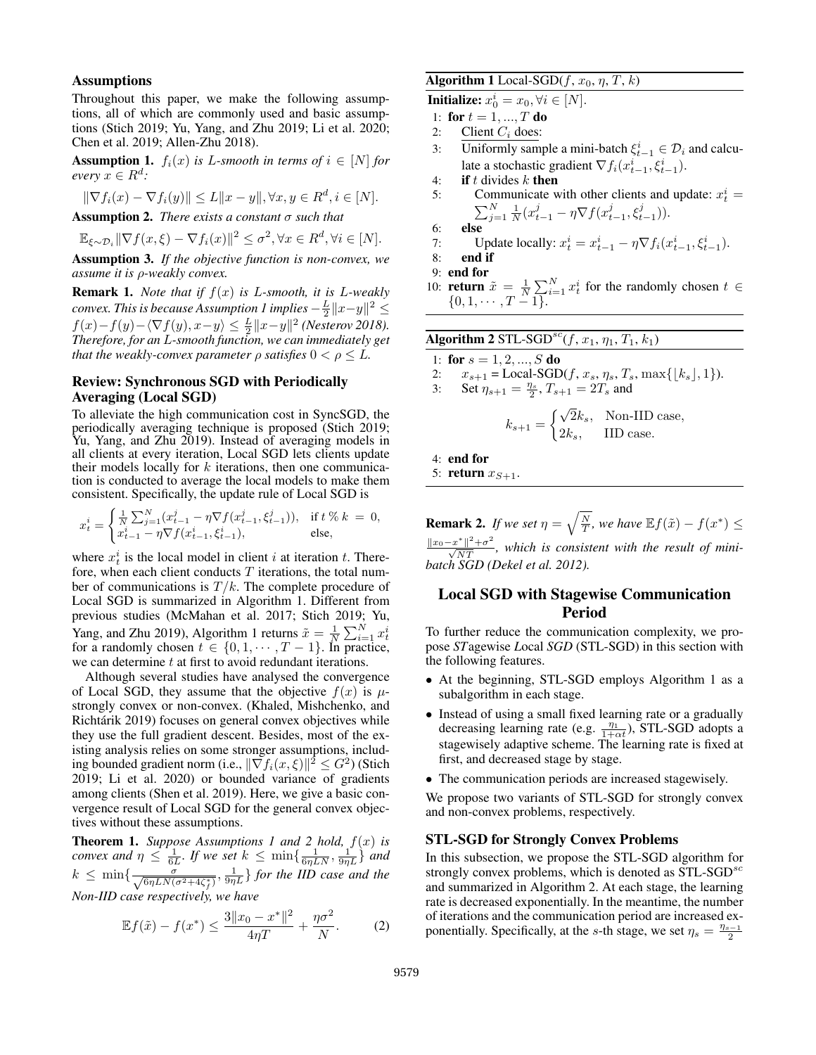#### **Assumptions**

Throughout this paper, we make the following assumptions, all of which are commonly used and basic assumptions (Stich 2019; Yu, Yang, and Zhu 2019; Li et al. 2020; Chen et al. 2019; Allen-Zhu 2018).

**Assumption 1.**  $f_i(x)$  *is L-smooth in terms of*  $i \in [N]$  *for*  $every \ x \in R^d$ :

$$
\|\nabla f_i(x) - \nabla f_i(y)\| \le L\|x - y\|, \forall x, y \in R^d, i \in [N].
$$
  
symmution 2. There exist a constant  $\tau$  such that

Assumption 2. *There exists a constant* σ *such that*

 $\mathbb{E}_{\xi \sim \mathcal{D}_i} \|\nabla f(x,\xi) - \nabla f_i(x)\|^2 \leq \sigma^2, \forall x \in R^d, \forall i \in [N].$ 

Assumption 3. *If the objective function is non-convex, we assume it is* ρ*-weakly convex.*

Remark 1. *Note that if* f(x) *is* L*-smooth, it is* L*-weakly convex. This is because Assumption 1 implies*  $-\frac{L}{2} \|x-y\|^2 \le$  $f(x) - f(y) - \langle \nabla f(y), x - y \rangle \leq \frac{L}{2} ||x - y||^2$  (Nesterov 2018). *Therefore, for an* L*-smooth function, we can immediately get that the weakly-convex parameter*  $\rho$  *satisfies*  $0 < \rho \leq L$ .

### Review: Synchronous SGD with Periodically Averaging (Local SGD)

To alleviate the high communication cost in SyncSGD, the periodically averaging technique is proposed (Stich 2019; Yu, Yang, and Zhu 2019). Instead of averaging models in all clients at every iteration, Local SGD lets clients update their models locally for  $k$  iterations, then one communication is conducted to average the local models to make them consistent. Specifically, the update rule of Local SGD is

$$
x_t^i = \begin{cases} \frac{1}{N} \sum_{j=1}^N (x_{t-1}^i - \eta \nabla f(x_{t-1}^j, \xi_{t-1}^j)), & \text{if } t \ll k = 0, \\ x_{t-1}^i - \eta \nabla f(x_{t-1}^i, \xi_{t-1}^i), & \text{else,} \end{cases}
$$

where  $x_t^i$  is the local model in client i at iteration t. Therefore, when each client conducts  $T$  iterations, the total number of communications is  $T/k$ . The complete procedure of Local SGD is summarized in Algorithm 1. Different from previous studies (McMahan et al. 2017; Stich 2019; Yu, Yang, and Zhu 2019), Algorithm 1 returns  $\tilde{x} = \frac{1}{N} \sum_{i=1}^{N} x_i^i$  for a randomly chosen  $t \in \{0, 1, \dots, T - 1\}$ . In practice, we can determine  $t$  at first to avoid redundant iterations.

Although several studies have analysed the convergence of Local SGD, they assume that the objective  $f(x)$  is  $\mu$ strongly convex or non-convex. (Khaled, Mishchenko, and Richtárik 2019) focuses on general convex objectives while they use the full gradient descent. Besides, most of the existing analysis relies on some stronger assumptions, including bounded gradient norm (i.e.,  $\|\nabla f_i(x, \xi)\|^2 \leq G^2$ ) (Stich 2019; Li et al. 2020) or bounded variance of gradients among clients (Shen et al. 2019). Here, we give a basic convergence result of Local SGD for the general convex objectives without these assumptions.

**Theorem 1.** *Suppose Assumptions 1 and 2 hold,*  $f(x)$  *is convex and*  $\eta \leq \frac{1}{6L}$ . If we set  $k \leq \min\{\frac{1}{6\eta L N}, \frac{1}{9\eta L}\}$  *and*  $k \leq \min\{\frac{\sigma}{\sqrt{6\eta LN(\sigma^2+4\zeta_f^*)}}, \frac{1}{9\eta L}\}\$  for the IID case and the *Non-IID case respectively, we have*

$$
\mathbb{E}f(\tilde{x}) - f(x^*) \le \frac{3\|x_0 - x^*\|^2}{4\eta T} + \frac{\eta \sigma^2}{N}.
$$
 (2)

## Algorithm 1 Local-SGD( $f, x_0, \eta, T, k$ )

**Initialize:**  $x_0^i = x_0, \forall i \in [N]$ .

- 1: for  $t = 1, ..., T$  do
- 2: Client  $C_i$  does:
- 3: Uniformly sample a mini-batch  $\xi_{t-1}^i \in \mathcal{D}_i$  and calculate a stochastic gradient  $\nabla f_i(x_{t-1}^i, \xi_{t-1}^i)$ .
- 4: if t divides  $k$  then
- 5: Communicate with other clients and update:  $x_t^i =$  $\sum_{j=1}^{N} \frac{1}{N} (x_{t-1}^j - \eta \nabla f(x_{t-1}^j, \xi_{t-1}^j)).$
- $6:$

7: Update locally: 
$$
x_t^i = x_{t-1}^i - \eta \nabla f_i(x_{t-1}^i, \xi_{t-1}^i)
$$
.

8: end if

- 9: end for
- 10: **return**  $\tilde{x} = \frac{1}{N} \sum_{i=1}^{N} x_i^i$  for the randomly chosen  $t \in$  $\{0, 1, \cdots, T-1\}.$

| <b>Algorithm 2</b> STL-SGD <sup>sc</sup> (f, $x_1$ , $\eta_1$ , $T_1$ , $k_1$ )                                                          |                                                                                                       |  |  |  |
|------------------------------------------------------------------------------------------------------------------------------------------|-------------------------------------------------------------------------------------------------------|--|--|--|
|                                                                                                                                          | 1: for $s = 1, 2, , S$ do                                                                             |  |  |  |
| 2: $x_{s+1} = \text{Local-SGD}(f, x_s, \eta_s, T_s, \max\{ k_s , 1\}).$<br>3: Set $\eta_{s+1} = \frac{\eta_s}{2}$ , $T_{s+1} = 2T_s$ and |                                                                                                       |  |  |  |
|                                                                                                                                          | $k_{s+1} = \begin{cases} \sqrt{2}k_s, & \text{Non-IID case,} \\ 2k_s, & \text{IID case.} \end{cases}$ |  |  |  |
|                                                                                                                                          | $4:$ end for                                                                                          |  |  |  |
|                                                                                                                                          | 5: return $x_{S+1}$ .                                                                                 |  |  |  |
|                                                                                                                                          |                                                                                                       |  |  |  |

**Remark 2.** If we set  $\eta = \sqrt{\frac{N}{T}}$ , we have  $\mathbb{E} f(\tilde{x}) - f(x^*) \leq$  $\frac{\|x_0 - x^*\|^2 + \sigma^2}{\sqrt{NT}}$ , which is consistent with the result of mini*batch SGD (Dekel et al. 2012).*

# Local SGD with Stagewise Communication Period

To further reduce the communication complexity, we propose *ST*agewise *L*ocal *SGD* (STL-SGD) in this section with the following features.

- At the beginning, STL-SGD employs Algorithm 1 as a subalgorithm in each stage.
- Instead of using a small fixed learning rate or a gradually decreasing learning rate (e.g.  $\frac{\eta_1}{1+\alpha t}$ ), STL-SGD adopts a stagewisely adaptive scheme. The learning rate is fixed at first, and decreased stage by stage.
- The communication periods are increased stagewisely.

We propose two variants of STL-SGD for strongly convex and non-convex problems, respectively.

#### STL-SGD for Strongly Convex Problems

In this subsection, we propose the STL-SGD algorithm for strongly convex problems, which is denoted as  $STL-SGD<sup>sc</sup>$ and summarized in Algorithm 2. At each stage, the learning rate is decreased exponentially. In the meantime, the number of iterations and the communication period are increased exponentially. Specifically, at the s-th stage, we set  $\eta_s = \frac{\eta_{s-1}}{2}$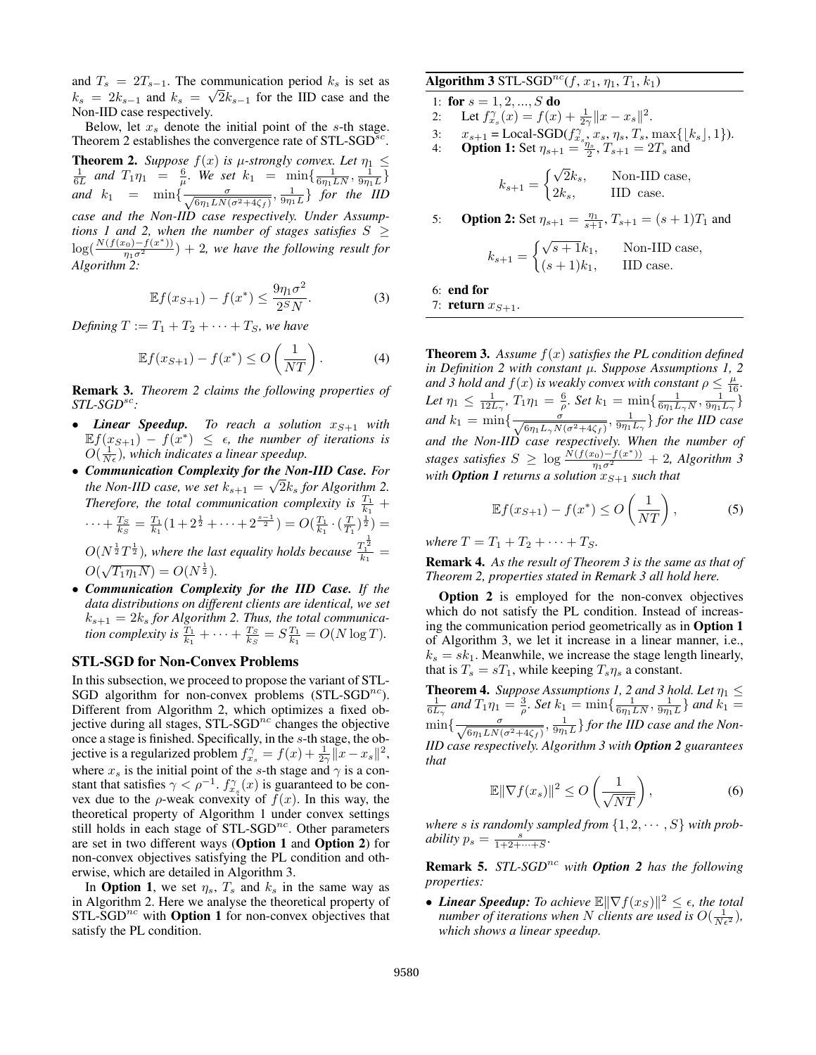and  $T_s = 2T_{s-1}$ . The communication period  $k_s$  is set as  $k_s = 2k_{s-1}$  and  $k_s = \sqrt{2k_{s-1}}$  for the IID case and the Non-IID case respectively.

Below, let  $x_s$  denote the initial point of the s-th stage. Theorem 2 establishes the convergence rate of  $STL\text{-}SGD^{sc}$ . **Theorem 2.** Suppose  $f(x)$  is  $\mu$ -strongly convex. Let  $\eta_1 \leq \frac{1}{6L}$  and  $T_1 \eta_1 = \frac{6}{\mu}$ . We set  $k_1 = \min\{\frac{1}{6\eta_1 L N}, \frac{1}{9\eta_1 L}\}$ *and*  $k_1$  =  $\min\left\{\frac{\sigma}{\sqrt{6\eta_1 L N(\sigma^2 + 4\zeta_f)}}, \frac{1}{9\eta_1 L}\right\}$  *for the IID case and the Non-IID case respectively. Under Assumptions 1 and 2, when the number of stages satisfies*  $S \geq$  $log(\frac{N(f(x_0)-f(x^*))}{\eta_1\sigma^2})+2$ , we have the following result for  $\frac{1}{\sqrt{6}}$  *Algorithm 2:* 

$$
\mathbb{E}f(x_{S+1}) - f(x^*) \le \frac{9\eta_1\sigma^2}{2^S N}.
$$
 (3)

*Defining*  $T := T_1 + T_2 + \cdots + T_S$ *, we have* 

$$
\mathbb{E}f(x_{S+1}) - f(x^*) \le O\left(\frac{1}{NT}\right). \tag{4}
$$

Remark 3. *Theorem 2 claims the following properties of STL-SGD*sc*:*

- *Linear Speedup.* To reach a solution  $x_{S+1}$  with  $\mathbb{E} f(x_{S+1}) - f(x^*) \leq \epsilon$ , the number of iterations is  $O(\frac{1}{N_{\epsilon}})$ , which indicates a linear speedup.
- *Communication Complexity for the Non-IID Case. For* √ *the Non-IID case, we set*  $k_{s+1} = \sqrt{2k_s}$  *for Algorithm 2.* Therefore, the total communication complexity is  $\frac{T_1}{k_1}$  +  $\cdots + \frac{T_S}{k_S} = \frac{T_1}{k_1} (1 + 2^{\frac{1}{2}} + \cdots + 2^{\frac{s-1}{2}}) = O(\frac{T_1}{k_1} \cdot (\frac{T}{T_1})^{\frac{1}{2}}) =$  $O(N^{\frac{1}{2}}T^{\frac{1}{2}})$ , where the last equality holds because  $\frac{T_1^2}{k_1}$  = 1

 $O(\sqrt{T_1 \eta_1 N}) = O(N^{\frac{1}{2}}).$ 

• *Communication Complexity for the IID Case. If the data distributions on different clients are identical, we set*  $k_{s+1} = 2k_s$  for Algorithm 2. Thus, the total communica*tion complexity is*  $\frac{T_1}{k_1} + \cdots + \frac{T_S}{k_S} = S \frac{T_1}{k_1} = O(N \log T)$ .

### STL-SGD for Non-Convex Problems

In this subsection, we proceed to propose the variant of STL-SGD algorithm for non-convex problems  $(STL-SGD<sup>nc</sup>)$ . Different from Algorithm 2, which optimizes a fixed objective during all stages,  $STL$ - $SGD<sup>nc</sup>$  changes the objective once a stage is finished. Specifically, in the s-th stage, the objective is a regularized problem  $f_{x_s}^{\gamma} = f(x) + \frac{1}{2\gamma} ||x - x_s||^2$ , where  $x_s$  is the initial point of the s-th stage and  $\gamma$  is a constant that satisfies  $\gamma < \rho^{-1}$ .  $f_{x_s}^{\gamma}(x)$  is guaranteed to be convex due to the  $\rho$ -weak convexity of  $f(x)$ . In this way, the theoretical property of Algorithm 1 under convex settings still holds in each stage of  $STL-SGD^{nc}$ . Other parameters are set in two different ways (Option 1 and Option 2) for non-convex objectives satisfying the PL condition and otherwise, which are detailed in Algorithm 3.

In **Option 1**, we set  $\eta_s$ ,  $T_s$  and  $k_s$  in the same way as in Algorithm 2. Here we analyse the theoretical property of  $STL-SGD<sup>nc</sup>$  with **Option 1** for non-convex objectives that satisfy the PL condition.

## Algorithm 3 STL-SGD<sup>nc</sup>(f,  $x_1$ ,  $\eta_1$ ,  $T_1$ ,  $k_1$ )

1: for  $s = 1, 2, ..., S$  do 2: Let  $f_{x_s}^{\gamma}(x) = f(x) + \frac{1}{2\gamma} ||x - x_s||^2$ . 3:  $x_{s+1} = \text{Local-SGD}(f_{x_s}^{\gamma}, x_s, \eta_s, T_s, \max\{|k_s|, 1\}).$ 4: **Option 1:** Set  $\eta_{s+1} = \frac{\eta_s}{2}$ ,  $T_{s+1} = 2T_s$  and  $k_{s+1} = \begin{cases} \sqrt{2}k_s, & \text{Non-IID case,} \\ 2k_s, & \text{IID case,} \end{cases}$  $2k_s$ , IID case. 5: **Option 2:** Set  $\eta_{s+1} = \frac{\eta_1}{s+1}$ ,  $T_{s+1} = (s+1)T_1$  and  $k_{s+1} = \begin{cases} \sqrt{s+1}k_1, & \text{Non-IID case,} \\ (s+1)k, & \text{IID case,} \end{cases}$  $(s+1)k_1$ , IID case.

6: end for

7: return 
$$
x_{S+1}
$$
.

**Theorem 3.** Assume  $f(x)$  satisfies the PL condition defined *in Definition 2 with constant* µ*. Suppose Assumptions 1, 2 and* 3 hold and  $f(x)$  is weakly convex with constant  $\rho \leq \frac{\mu}{16}$ . Let  $\eta_1 \leq \frac{1}{12L_\gamma}$ ,  $T_1 \eta_1 = \frac{6}{\rho}$ . Set  $k_1 = \min\{\frac{1}{6\eta_1 L_\gamma N}, \frac{1}{9\eta_1 L_\gamma}\}$ and  $k_1 = \min\{\frac{\sigma}{\sqrt{6\eta_1L_{\gamma}N(\sigma^2+4\zeta_f)}}, \frac{1}{9\eta_1L_{\gamma}}\}$  for the IID case *and the Non-IID case respectively. When the number of stages satisfies*  $S \ge \log \frac{\dot{N}(f(x_0) - f(x^*))}{\eta_1 \sigma^2} + 2$ , *Algorithm 3 with*  $\bm{Option\ 1\,}$  *returns a solution*  $x_{S+1}$  *such that* 

$$
\mathbb{E}f(x_{S+1}) - f(x^*) \le O\left(\frac{1}{NT}\right),\tag{5}
$$

*where*  $T = T_1 + T_2 + \cdots + T_S$ .

Remark 4. *As the result of Theorem 3 is the same as that of Theorem 2, properties stated in Remark 3 all hold here.*

Option 2 is employed for the non-convex objectives which do not satisfy the PL condition. Instead of increasing the communication period geometrically as in Option 1 of Algorithm 3, we let it increase in a linear manner, i.e.,  $k<sub>s</sub> = sk<sub>1</sub>$ . Meanwhile, we increase the stage length linearly, that is  $T_s = sT_1$ , while keeping  $T_s \eta_s$  a constant.

**Theorem 4.** Suppose Assumptions 1, 2 and 3 hold. Let  $\eta_1 \le \frac{1}{6L_\gamma}$  and  $T_1\eta_1 = \frac{3}{\rho}$ . Set  $k_1 = \min\{\frac{1}{6\eta_1LN}, \frac{1}{9\eta_1L}\}$  and  $k_1 =$  $\min\{\frac{\sigma}{\sqrt{6\eta_1 L N(\sigma^2+4\zeta_f)}}, \frac{1}{9\eta_1 L}\}$  for the IID case and the Non-*IID case respectively. Algorithm 3 with Option 2 guarantees that*

$$
\mathbb{E}\|\nabla f(x_s)\|^2 \le O\left(\frac{1}{\sqrt{NT}}\right),\tag{6}
$$

where *s* is randomly sampled from  $\{1, 2, \dots, S\}$  with prob*ability*  $p_s = \frac{s}{1+2+\cdots+S}$ .

Remark 5. *STL-SGD*nc *with Option 2 has the following properties:*

• *Linear Speedup: To achieve*  $\mathbb{E} \|\nabla f(x_S)\|^2 \leq \epsilon$ , the total *number of iterations when* N *clients are used is*  $O(\frac{1}{N\epsilon^2})$ *, which shows a linear speedup.*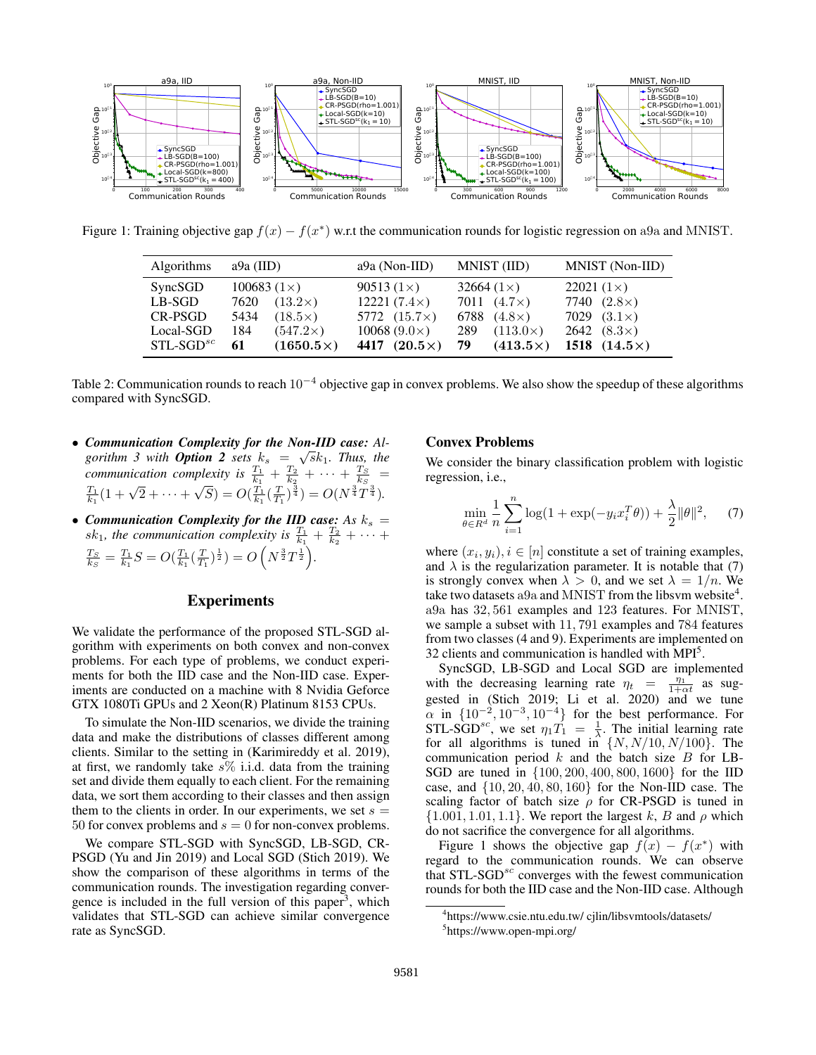

Figure 1: Training objective gap  $f(x) - f(x^*)$  w.r.t the communication rounds for logistic regression on a9a and MNIST.

| <b>Algorithms</b> | a9a (IID)              | $a9a (Non-IID)$     | MNIST (IID)            | MNIST (Non-IID)     |
|-------------------|------------------------|---------------------|------------------------|---------------------|
| SyncSGD           | 100683 $(1\times)$     | $90513(1\times)$    | 32664 $(1\times)$      | $22021(1\times)$    |
| LB-SGD            | $(13.2\times)$<br>7620 | 12221 $(7.4\times)$ | 7011 $(4.7\times)$     | 7740 $(2.8\times)$  |
| CR-PSGD           | $(18.5\times)$<br>5434 | 5772 $(15.7\times)$ | 6788 $(4.8\times)$     | 7029 $(3.1\times)$  |
| Local-SGD         | $(547.2\times)$<br>184 | $10068 (9.0\times)$ | $(113.0\times)$<br>289 | $2642 (8.3\times)$  |
| $STL-SGDsc$       | $(1650.5\times)$<br>61 | 4417 $(20.5\times)$ | 79<br>$(413.5\times)$  | 1518 $(14.5\times)$ |

Table 2: Communication rounds to reach  $10^{-4}$  objective gap in convex problems. We also show the speedup of these algorithms compared with SyncSGD.

- *Communication Complexity for the Non-IID case: Al-* $$ *communication complexity is*  $\frac{T_1}{k_1} + \frac{T_2}{k_2} + \cdots + \frac{T_S}{k_S}$  =  $\frac{T_1}{k_1} (1 + \sqrt{2} + \cdots +$  $\mathcal{L}^{\mu}$  $\overline{S}) = O(\frac{T_1}{k_1}(\frac{T}{T_1})^{\frac{3}{4}}) = O(N^{\frac{3}{4}}T^{\frac{3}{4}}).$
- *Communication Complexity for the IID case:* As  $k_s =$  $sk_1$ , the communication complexity is  $\frac{T_1}{k_1} + \frac{T_2}{k_2} + \cdots$  $\frac{T_S}{k_S} = \frac{T_1}{k_1}S = O(\frac{T_1}{k_1}(\frac{T}{T_1})^{\frac{1}{2}}) = O\left(N^{\frac{3}{2}}T^{\frac{1}{2}}\right).$

### Experiments

We validate the performance of the proposed STL-SGD algorithm with experiments on both convex and non-convex problems. For each type of problems, we conduct experiments for both the IID case and the Non-IID case. Experiments are conducted on a machine with 8 Nvidia Geforce GTX 1080Ti GPUs and 2 Xeon(R) Platinum 8153 CPUs.

To simulate the Non-IID scenarios, we divide the training data and make the distributions of classes different among clients. Similar to the setting in (Karimireddy et al. 2019), at first, we randomly take  $s\%$  i.i.d. data from the training set and divide them equally to each client. For the remaining data, we sort them according to their classes and then assign them to the clients in order. In our experiments, we set  $s =$ 50 for convex problems and  $s = 0$  for non-convex problems.

We compare STL-SGD with SyncSGD, LB-SGD, CR-PSGD (Yu and Jin 2019) and Local SGD (Stich 2019). We show the comparison of these algorithms in terms of the communication rounds. The investigation regarding convergence is included in the full version of this paper<sup>3</sup>, which validates that STL-SGD can achieve similar convergence rate as SyncSGD.

### Convex Problems

We consider the binary classification problem with logistic regression, i.e.,

$$
\min_{\theta \in R^d} \frac{1}{n} \sum_{i=1}^n \log(1 + \exp(-y_i x_i^T \theta)) + \frac{\lambda}{2} ||\theta||^2, \quad (7)
$$

where  $(x_i, y_i), i \in [n]$  constitute a set of training examples, and  $\lambda$  is the regularization parameter. It is notable that (7) is strongly convex when  $\lambda > 0$ , and we set  $\lambda = 1/n$ . We take two datasets a 9a and MNIST from the libsum website<sup>4</sup>. a9a has 32, 561 examples and 123 features. For MNIST, we sample a subset with 11, 791 examples and 784 features from two classes (4 and 9). Experiments are implemented on 32 clients and communication is handled with MPI<sup>5</sup>.

SyncSGD, LB-SGD and Local SGD are implemented with the decreasing learning rate  $\eta_t = \frac{\eta_1}{1 + \alpha t}$  as suggested in (Stich 2019; Li et al. 2020) and we tune  $\alpha$  in  $\{10^{-2}, 10^{-3}, 10^{-4}\}$  for the best performance. For STL-SGD<sup>sc</sup>, we set  $\eta_1 T_1 = \frac{1}{\lambda}$ . The initial learning rate for all algorithms is tuned in  $\{N, N/10, N/100\}$ . The communication period  $k$  and the batch size  $B$  for LB-SGD are tuned in {100, 200, 400, 800, 1600} for the IID case, and {10, 20, 40, 80, 160} for the Non-IID case. The scaling factor of batch size  $\rho$  for CR-PSGD is tuned in  $\{1.001, 1.01, 1.1\}$ . We report the largest k, B and  $\rho$  which do not sacrifice the convergence for all algorithms.

Figure 1 shows the objective gap  $f(x) - f(x^*)$  with regard to the communication rounds. We can observe that  $STL-SGD<sup>sc</sup>$  converges with the fewest communication rounds for both the IID case and the Non-IID case. Although

<sup>4</sup> https://www.csie.ntu.edu.tw/ cjlin/libsvmtools/datasets/

<sup>5</sup> https://www.open-mpi.org/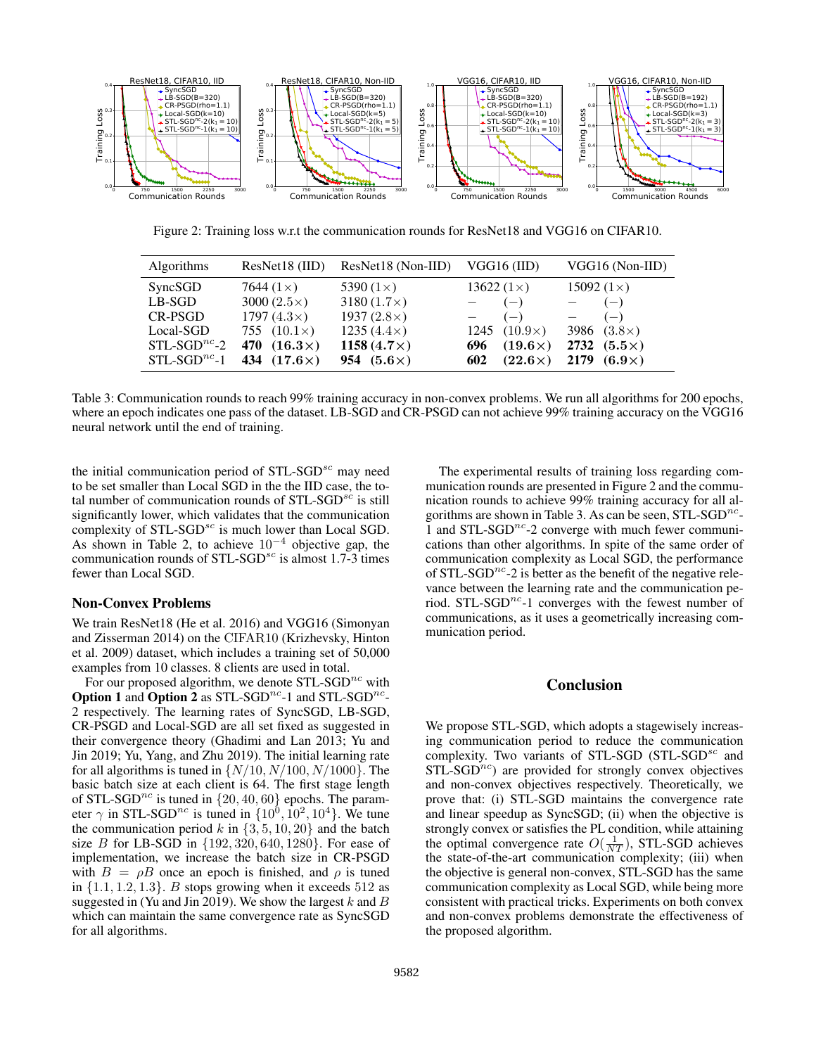

Figure 2: Training loss w.r.t the communication rounds for ResNet18 and VGG16 on CIFAR10.

| <b>Algorithms</b> | ResNet18 (IID)        | ResNet18 (Non-IID) | VGG16 (IID)           | VGG16 (Non-IID)    |
|-------------------|-----------------------|--------------------|-----------------------|--------------------|
| SyncSGD           | 7644 $(1\times)$      | 5390 $(1\times)$   | 13622 $(1\times)$     | 15092 $(1\times)$  |
| $LB-SGD$          | 3000 $(2.5\times)$    | 3180 $(1.7\times)$ | $(-)$                 | $(-)$              |
| CR-PSGD           | 1797 $(4.3\times)$    | 1937 $(2.8\times)$ | $(-)$                 | $(-)$              |
| Local-SGD         | 755 $(10.1\times)$    | $1235(4.4\times)$  | 1245 $(10.9\times)$   | 3986 $(3.8\times)$ |
| $STL-SGD^{nc}$ -2 | $(16.3\times)$<br>470 | 1158 $(4.7\times)$ | $(19.6\times)$<br>696 | 2732 $(5.5\times)$ |
| $STL-SGDnc$ -1    | $(17.6\times)$<br>434 | 954 $(5.6\times)$  | $(22.6\times)$<br>602 | 2179 $(6.9\times)$ |

Table 3: Communication rounds to reach 99% training accuracy in non-convex problems. We run all algorithms for 200 epochs, where an epoch indicates one pass of the dataset. LB-SGD and CR-PSGD can not achieve 99% training accuracy on the VGG16 neural network until the end of training.

the initial communication period of  $STL\text{-}SGD^{sc}$  may need to be set smaller than Local SGD in the the IID case, the total number of communication rounds of  $STL-SGD<sup>sc</sup>$  is still significantly lower, which validates that the communication complexity of  $STL-SGD<sup>sc</sup>$  is much lower than Local SGD. As shown in Table 2, to achieve  $10^{-4}$  objective gap, the communication rounds of  $STL-SGD<sup>sc</sup>$  is almost 1.7-3 times fewer than Local SGD.

### Non-Convex Problems

We train ResNet18 (He et al. 2016) and VGG16 (Simonyan and Zisserman 2014) on the CIFAR10 (Krizhevsky, Hinton et al. 2009) dataset, which includes a training set of 50,000 examples from 10 classes. 8 clients are used in total.

For our proposed algorithm, we denote  $STL-SGD^{nc}$  with Option 1 and Option 2 as  $STL$ -SGD<sup>nc</sup>-1 and  $STL$ -SGD<sup>nc</sup>-2 respectively. The learning rates of SyncSGD, LB-SGD, CR-PSGD and Local-SGD are all set fixed as suggested in their convergence theory (Ghadimi and Lan 2013; Yu and Jin 2019; Yu, Yang, and Zhu 2019). The initial learning rate for all algorithms is tuned in  $\{N/10, N/100, N/1000\}$ . The basic batch size at each client is 64. The first stage length of STL-SGD<sup>nc</sup> is tuned in  $\{20, 40, 60\}$  epochs. The parameter  $\gamma$  in STL-SGD<sup>nc</sup> is tuned in  $\{10^0, 10^2, 10^4\}$ . We tune the communication period k in  $\{3, 5, 10, 20\}$  and the batch size *B* for LB-SGD in  $\{192, 320, 640, 1280\}$ . For ease of implementation, we increase the batch size in CR-PSGD with  $B = \rho B$  once an epoch is finished, and  $\rho$  is tuned in  $\{1.1, 1.2, 1.3\}$ . B stops growing when it exceeds 512 as suggested in (Yu and Jin 2019). We show the largest  $k$  and  $B$ which can maintain the same convergence rate as SyncSGD for all algorithms.

The experimental results of training loss regarding communication rounds are presented in Figure 2 and the communication rounds to achieve 99% training accuracy for all algorithms are shown in Table 3. As can be seen,  $\text{STL-SGD}^{nc}$ -1 and STL-SGD<sup>nc</sup>-2 converge with much fewer communications than other algorithms. In spite of the same order of communication complexity as Local SGD, the performance of STL-SGD<sup>nc</sup>-2 is better as the benefit of the negative relevance between the learning rate and the communication period. STL-SGD<sup>nc</sup>-1 converges with the fewest number of communications, as it uses a geometrically increasing communication period.

### Conclusion

We propose STL-SGD, which adopts a stagewisely increasing communication period to reduce the communication complexity. Two variants of STL-SGD  $(STL-SGD<sup>sc</sup>$  and  $STL-SGD<sup>nc</sup>$  are provided for strongly convex objectives and non-convex objectives respectively. Theoretically, we prove that: (i) STL-SGD maintains the convergence rate and linear speedup as SyncSGD; (ii) when the objective is strongly convex or satisfies the PL condition, while attaining the optimal convergence rate  $O(\frac{1}{NT})$ , STL-SGD achieves the state-of-the-art communication complexity; (iii) when the objective is general non-convex, STL-SGD has the same communication complexity as Local SGD, while being more consistent with practical tricks. Experiments on both convex and non-convex problems demonstrate the effectiveness of the proposed algorithm.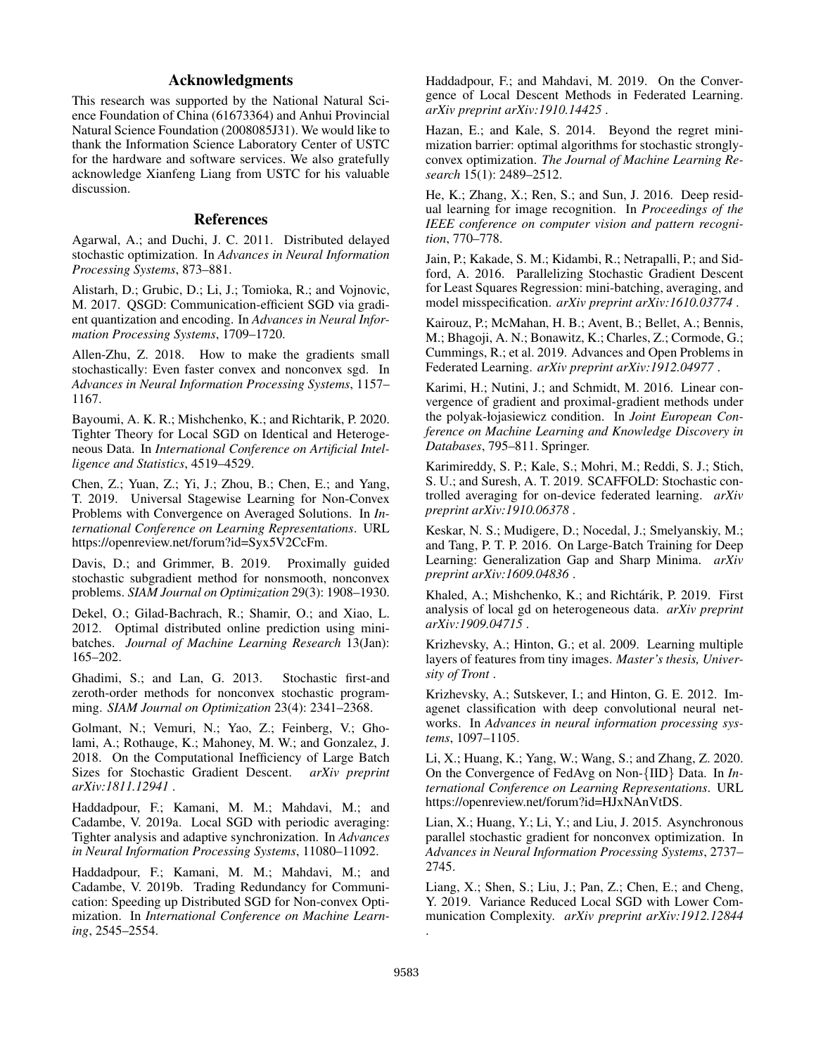# Acknowledgments

This research was supported by the National Natural Science Foundation of China (61673364) and Anhui Provincial Natural Science Foundation (2008085J31). We would like to thank the Information Science Laboratory Center of USTC for the hardware and software services. We also gratefully acknowledge Xianfeng Liang from USTC for his valuable discussion.

### References

Agarwal, A.; and Duchi, J. C. 2011. Distributed delayed stochastic optimization. In *Advances in Neural Information Processing Systems*, 873–881.

Alistarh, D.; Grubic, D.; Li, J.; Tomioka, R.; and Vojnovic, M. 2017. QSGD: Communication-efficient SGD via gradient quantization and encoding. In *Advances in Neural Information Processing Systems*, 1709–1720.

Allen-Zhu, Z. 2018. How to make the gradients small stochastically: Even faster convex and nonconvex sgd. In *Advances in Neural Information Processing Systems*, 1157– 1167.

Bayoumi, A. K. R.; Mishchenko, K.; and Richtarik, P. 2020. Tighter Theory for Local SGD on Identical and Heterogeneous Data. In *International Conference on Artificial Intelligence and Statistics*, 4519–4529.

Chen, Z.; Yuan, Z.; Yi, J.; Zhou, B.; Chen, E.; and Yang, T. 2019. Universal Stagewise Learning for Non-Convex Problems with Convergence on Averaged Solutions. In *International Conference on Learning Representations*. URL https://openreview.net/forum?id=Syx5V2CcFm.

Davis, D.; and Grimmer, B. 2019. Proximally guided stochastic subgradient method for nonsmooth, nonconvex problems. *SIAM Journal on Optimization* 29(3): 1908–1930.

Dekel, O.; Gilad-Bachrach, R.; Shamir, O.; and Xiao, L. 2012. Optimal distributed online prediction using minibatches. *Journal of Machine Learning Research* 13(Jan): 165–202.

Ghadimi, S.; and Lan, G. 2013. Stochastic first-and zeroth-order methods for nonconvex stochastic programming. *SIAM Journal on Optimization* 23(4): 2341–2368.

Golmant, N.; Vemuri, N.; Yao, Z.; Feinberg, V.; Gholami, A.; Rothauge, K.; Mahoney, M. W.; and Gonzalez, J. 2018. On the Computational Inefficiency of Large Batch Sizes for Stochastic Gradient Descent. *arXiv preprint arXiv:1811.12941* .

Haddadpour, F.; Kamani, M. M.; Mahdavi, M.; and Cadambe, V. 2019a. Local SGD with periodic averaging: Tighter analysis and adaptive synchronization. In *Advances in Neural Information Processing Systems*, 11080–11092.

Haddadpour, F.; Kamani, M. M.; Mahdavi, M.; and Cadambe, V. 2019b. Trading Redundancy for Communication: Speeding up Distributed SGD for Non-convex Optimization. In *International Conference on Machine Learning*, 2545–2554.

Haddadpour, F.; and Mahdavi, M. 2019. On the Convergence of Local Descent Methods in Federated Learning. *arXiv preprint arXiv:1910.14425* .

Hazan, E.; and Kale, S. 2014. Beyond the regret minimization barrier: optimal algorithms for stochastic stronglyconvex optimization. *The Journal of Machine Learning Research* 15(1): 2489–2512.

He, K.; Zhang, X.; Ren, S.; and Sun, J. 2016. Deep residual learning for image recognition. In *Proceedings of the IEEE conference on computer vision and pattern recognition*, 770–778.

Jain, P.; Kakade, S. M.; Kidambi, R.; Netrapalli, P.; and Sidford, A. 2016. Parallelizing Stochastic Gradient Descent for Least Squares Regression: mini-batching, averaging, and model misspecification. *arXiv preprint arXiv:1610.03774* .

Kairouz, P.; McMahan, H. B.; Avent, B.; Bellet, A.; Bennis, M.; Bhagoji, A. N.; Bonawitz, K.; Charles, Z.; Cormode, G.; Cummings, R.; et al. 2019. Advances and Open Problems in Federated Learning. *arXiv preprint arXiv:1912.04977* .

Karimi, H.; Nutini, J.; and Schmidt, M. 2016. Linear convergence of gradient and proximal-gradient methods under the polyak-łojasiewicz condition. In *Joint European Conference on Machine Learning and Knowledge Discovery in Databases*, 795–811. Springer.

Karimireddy, S. P.; Kale, S.; Mohri, M.; Reddi, S. J.; Stich, S. U.; and Suresh, A. T. 2019. SCAFFOLD: Stochastic controlled averaging for on-device federated learning. *arXiv preprint arXiv:1910.06378* .

Keskar, N. S.; Mudigere, D.; Nocedal, J.; Smelyanskiy, M.; and Tang, P. T. P. 2016. On Large-Batch Training for Deep Learning: Generalization Gap and Sharp Minima. *arXiv preprint arXiv:1609.04836* .

Khaled, A.; Mishchenko, K.; and Richtárik, P. 2019. First analysis of local gd on heterogeneous data. *arXiv preprint arXiv:1909.04715* .

Krizhevsky, A.; Hinton, G.; et al. 2009. Learning multiple layers of features from tiny images. *Master's thesis, University of Tront* .

Krizhevsky, A.; Sutskever, I.; and Hinton, G. E. 2012. Imagenet classification with deep convolutional neural networks. In *Advances in neural information processing systems*, 1097–1105.

Li, X.; Huang, K.; Yang, W.; Wang, S.; and Zhang, Z. 2020. On the Convergence of FedAvg on Non-{IID} Data. In *International Conference on Learning Representations*. URL https://openreview.net/forum?id=HJxNAnVtDS.

Lian, X.; Huang, Y.; Li, Y.; and Liu, J. 2015. Asynchronous parallel stochastic gradient for nonconvex optimization. In *Advances in Neural Information Processing Systems*, 2737– 2745.

Liang, X.; Shen, S.; Liu, J.; Pan, Z.; Chen, E.; and Cheng, Y. 2019. Variance Reduced Local SGD with Lower Communication Complexity. *arXiv preprint arXiv:1912.12844*

.